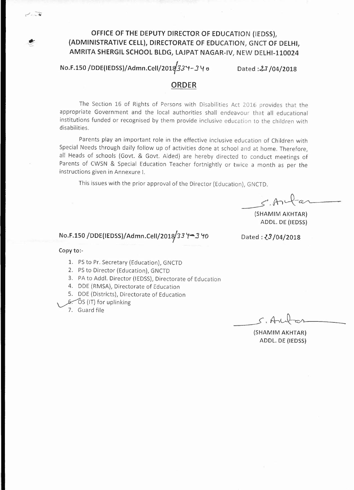# OFFICE OF **THE** DEPUTY DIRECTOR OF EDUCATION (IEDSSL (ADMINISTRATIVE CELL), DIRECTORATE OF EDUCATION, GNCT OF DELHI, AMRITA SHERGIL SCHOOL BLDG, LAJPAT NAGAR-IV, NEW DELHI-II0024

 $No.F.150 / DDE(IEDSS) / Adam.Cell/2018/33'1 - 340$  Dated : $23/04/2018$ 

## ORDER

The Section 16 of Rights of Persons with Disabilities Act 2016 provides that the appropriate Government and the local authorities shall endeavour that all educational institutions funded or recognised by them provide inclusive education to the children with disabilities.

Parents play an important role in the effective inclusive education of Children with Special Needs through daily follow up of activities done at school and at home. Therefore, all Heads of schools (Govt. & Govt. Aided) are hereby directed to conduct meetings of Parents of CWSN & Special Education Teacher fortnightly or twice a month as per the instructions given in Annexure I.

This issues with the prior approval of the Director (Education), GNCTD.

 $5.804$ 

(SHAMIM AKHTAR) ADDL. DE (IEDSS)

# No.F.150 /DDE(IEDSS)/Admn.Cell/2018 33 <del>Y</del> − 3 '10 Dated: *{3* /04/2018

#### Copy to:-

- 1. PS to Pr. Secretary (Education), GNCTD
- 2. PSto Director (Education), GNCTD
- 3. PA to Add!. Director (IEDSS), Directorate of Education
- 4. DDE (RMSA), Directorate of Education
- 5. DDE (Districts), Directorate of Education
- $6.$   $\circ$  (IT) for uplinking
- 7. Guard file

 $C.A$ 

(SHAMIM AKHTAR) ADDL. DE (IEDsS)